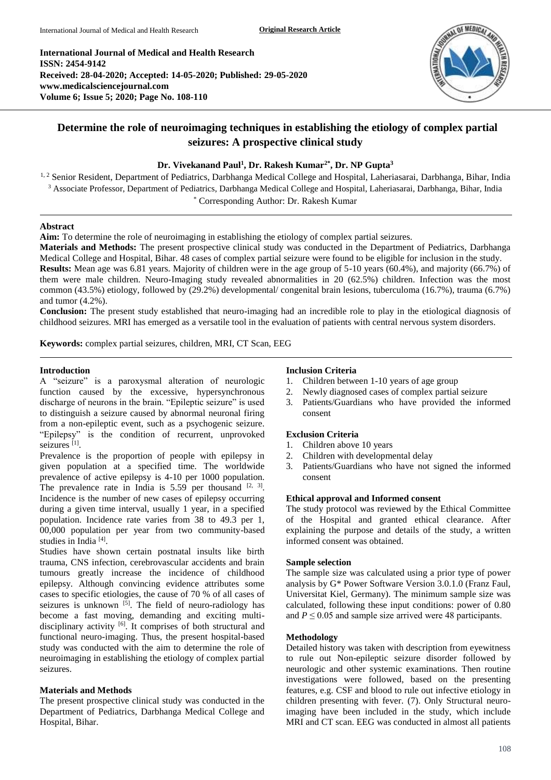**International Journal of Medical and Health Research ISSN: 2454-9142 Received: 28-04-2020; Accepted: 14-05-2020; Published: 29-05-2020 www.medicalsciencejournal.com Volume 6; Issue 5; 2020; Page No. 108-110**



# **Determine the role of neuroimaging techniques in establishing the etiology of complex partial seizures: A prospective clinical study**

## **Dr. Vivekanand Paul<sup>1</sup> , Dr. Rakesh Kumar2\* , Dr. NP Gupta<sup>3</sup>**

<sup>1, 2</sup> Senior Resident, Department of Pediatrics, Darbhanga Medical College and Hospital, Laheriasarai, Darbhanga, Bihar, India <sup>3</sup> Associate Professor, Department of Pediatrics, Darbhanga Medical College and Hospital, Laheriasarai, Darbhanga, Bihar, India \* Corresponding Author: Dr. Rakesh Kumar

## **Abstract**

**Aim:** To determine the role of neuroimaging in establishing the etiology of complex partial seizures.

**Materials and Methods:** The present prospective clinical study was conducted in the Department of Pediatrics, Darbhanga Medical College and Hospital, Bihar. 48 cases of complex partial seizure were found to be eligible for inclusion in the study. **Results:** Mean age was 6.81 years. Majority of children were in the age group of 5-10 years (60.4%), and majority (66.7%) of them were male children. Neuro-Imaging study revealed abnormalities in 20 (62.5%) children. Infection was the most common (43.5%) etiology, followed by (29.2%) developmental/ congenital brain lesions, tuberculoma (16.7%), trauma (6.7%) and tumor (4.2%).

**Conclusion:** The present study established that neuro-imaging had an incredible role to play in the etiological diagnosis of childhood seizures. MRI has emerged as a versatile tool in the evaluation of patients with central nervous system disorders.

**Keywords:** complex partial seizures, children, MRI, CT Scan, EEG

#### **Introduction**

A "seizure" is a paroxysmal alteration of neurologic function caused by the excessive, hypersynchronous discharge of neurons in the brain. "Epileptic seizure" is used to distinguish a seizure caused by abnormal neuronal firing from a non-epileptic event, such as a psychogenic seizure. "Epilepsy" is the condition of recurrent, unprovoked seizures [1].

Prevalence is the proportion of people with epilepsy in given population at a specified time. The worldwide prevalence of active epilepsy is 4-10 per 1000 population. The prevalence rate in India is  $5.59$  per thousand  $[2, 3]$ . Incidence is the number of new cases of epilepsy occurring during a given time interval, usually 1 year, in a specified population. Incidence rate varies from 38 to 49.3 per 1, 00,000 population per year from two community-based studies in India<sup>[4]</sup>.

Studies have shown certain postnatal insults like birth trauma, CNS infection, cerebrovascular accidents and brain tumours greatly increase the incidence of childhood epilepsy. Although convincing evidence attributes some cases to specific etiologies, the cause of 70 % of all cases of seizures is unknown  $[5]$ . The field of neuro-radiology has become a fast moving, demanding and exciting multidisciplinary activity [6]. It comprises of both structural and functional neuro-imaging. Thus, the present hospital-based study was conducted with the aim to determine the role of neuroimaging in establishing the etiology of complex partial seizures.

## **Materials and Methods**

The present prospective clinical study was conducted in the Department of Pediatrics, Darbhanga Medical College and Hospital, Bihar.

## **Inclusion Criteria**

- 1. Children between 1-10 years of age group
- 2. Newly diagnosed cases of complex partial seizure
- 3. Patients/Guardians who have provided the informed consent

## **Exclusion Criteria**

- 1. Children above 10 years
- 2. Children with developmental delay
- 3. Patients/Guardians who have not signed the informed consent

## **Ethical approval and Informed consent**

The study protocol was reviewed by the Ethical Committee of the Hospital and granted ethical clearance. After explaining the purpose and details of the study, a written informed consent was obtained.

#### **Sample selection**

The sample size was calculated using a prior type of power analysis by G\* Power Software Version 3.0.1.0 (Franz Faul, Universitat Kiel, Germany). The minimum sample size was calculated, following these input conditions: power of 0.80 and  $P \leq 0.05$  and sample size arrived were 48 participants.

## **Methodology**

Detailed history was taken with description from eyewitness to rule out Non-epileptic seizure disorder followed by neurologic and other systemic examinations. Then routine investigations were followed, based on the presenting features, e.g. CSF and blood to rule out infective etiology in children presenting with fever. (7). Only Structural neuroimaging have been included in the study, which include MRI and CT scan. EEG was conducted in almost all patients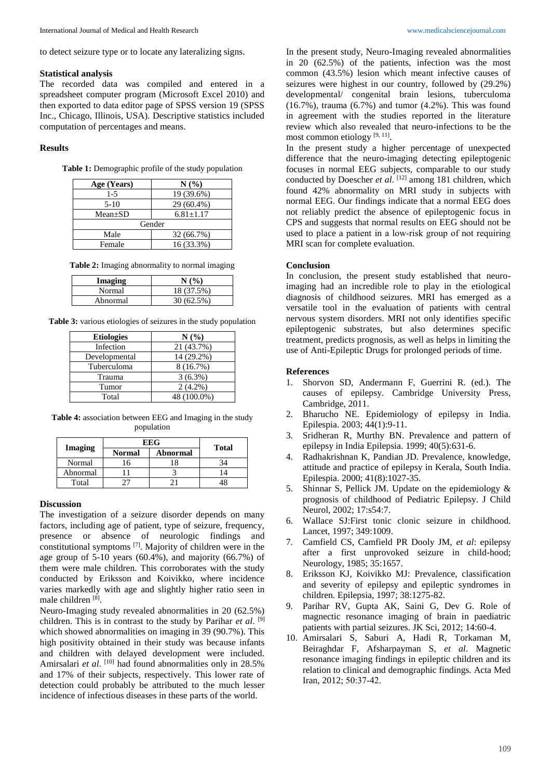to detect seizure type or to locate any lateralizing signs.

#### **Statistical analysis**

The recorded data was compiled and entered in a spreadsheet computer program (Microsoft Excel 2010) and then exported to data editor page of SPSS version 19 (SPSS Inc., Chicago, Illinois, USA). Descriptive statistics included computation of percentages and means.

#### **Results**

**Table 1:** Demographic profile of the study population

| Age (Years)   | N(%)            |  |  |  |
|---------------|-----------------|--|--|--|
| $1-5$         | 19 (39.6%)      |  |  |  |
| $5-10$        | 29 (60.4%)      |  |  |  |
| $Mean \pm SD$ | $6.81 \pm 1.17$ |  |  |  |
| Gender        |                 |  |  |  |
| Male          | 32 (66.7%)      |  |  |  |
| Female        | 16 (33.3%)      |  |  |  |

**Table 2:** Imaging abnormality to normal imaging

| Imaging  | N(%        |
|----------|------------|
| Normal   | 18 (37.5%) |
| Abnormal | 30(62.5%)  |

**Table 3:** various etiologies of seizures in the study population

| <b>Etiologies</b> | N(%         |  |
|-------------------|-------------|--|
| Infection         | 21 (43.7%)  |  |
| Developmental     | 14 (29.2%)  |  |
| Tuberculoma       | 8 (16.7%)   |  |
| Trauma            | $3(6.3\%)$  |  |
| Tumor             | $2(4.2\%)$  |  |
| Total             | 48 (100.0%) |  |

**Table 4:** association between EEG and Imaging in the study population

|                | <b>EEG</b>    |          |              |
|----------------|---------------|----------|--------------|
| <b>Imaging</b> | <b>Normal</b> | Abnormal | <b>Total</b> |
| Normal         | 6             |          |              |
| Abnormal       |               |          |              |
| Total          |               |          |              |

## **Discussion**

The investigation of a seizure disorder depends on many factors, including age of patient, type of seizure, frequency, presence or absence of neurologic findings and constitutional symptoms [7] . Majority of children were in the age group of 5-10 years (60.4%), and majority (66.7%) of them were male children. This corroborates with the study conducted by Eriksson and Koivikko, where incidence varies markedly with age and slightly higher ratio seen in male children [8].

Neuro-Imaging study revealed abnormalities in 20 (62.5%) children. This is in contrast to the study by Parihar *et al*. [9] which showed abnormalities on imaging in 39 (90.7%). This high positivity obtained in their study was because infants and children with delayed development were included. Amirsalari *et al.* <sup>[10]</sup> had found abnormalities only in 28.5% and 17% of their subjects, respectively. This lower rate of detection could probably be attributed to the much lesser incidence of infectious diseases in these parts of the world.

In the present study, Neuro-Imaging revealed abnormalities in 20 (62.5%) of the patients, infection was the most common (43.5%) lesion which meant infective causes of seizures were highest in our country, followed by (29.2%) developmental/ congenital brain lesions, tuberculoma (16.7%), trauma (6.7%) and tumor (4.2%). This was found in agreement with the studies reported in the literature review which also revealed that neuro-infections to be the most common etiology<sup>[9, 11]</sup>.

In the present study a higher percentage of unexpected difference that the neuro-imaging detecting epileptogenic focuses in normal EEG subjects, comparable to our study conducted by Doescher *et al*. [12] among 181 children, which found 42% abnormality on MRI study in subjects with normal EEG. Our findings indicate that a normal EEG does not reliably predict the absence of epileptogenic focus in CPS and suggests that normal results on EEG should not be used to place a patient in a low-risk group of not requiring MRI scan for complete evaluation.

#### **Conclusion**

In conclusion, the present study established that neuroimaging had an incredible role to play in the etiological diagnosis of childhood seizures. MRI has emerged as a versatile tool in the evaluation of patients with central nervous system disorders. MRI not only identifies specific epileptogenic substrates, but also determines specific treatment, predicts prognosis, as well as helps in limiting the use of Anti-Epileptic Drugs for prolonged periods of time.

#### **References**

- 1. Shorvon SD, Andermann F, Guerrini R. (ed.). The causes of epilepsy. Cambridge University Press, Cambridge, 2011.
- 2. Bharucho NE. Epidemiology of epilepsy in India. Epilespia. 2003; 44(1):9-11.
- 3. Sridheran R, Murthy BN. Prevalence and pattern of epilepsy in India Epilepsia. 1999; 40(5):631-6.
- 4. Radhakrishnan K, Pandian JD. Prevalence, knowledge, attitude and practice of epilepsy in Kerala, South India. Epilespia. 2000; 41(8):1027-35.
- 5. Shinnar S, Pellick JM. Update on the epidemiology & prognosis of childhood of Pediatric Epilepsy. J Child Neurol, 2002; 17:s54:7.
- 6. Wallace SJ:First tonic clonic seizure in childhood. Lancet, 1997; 349:1009.
- 7. Camfield CS, Camfield PR Dooly JM, *et al*: epilepsy after a first unprovoked seizure in child-hood; Neurology, 1985; 35:1657.
- 8. Eriksson KJ, Koivikko MJ: Prevalence, classification and severity of epilepsy and epileptic syndromes in children. Epilepsia, 1997; 38:1275-82.
- 9. Parihar RV, Gupta AK, Saini G, Dev G. Role of magnectic resonance imaging of brain in paediatric patients with partial seizures. JK Sci, 2012; 14:60-4.
- 10. Amirsalari S, Saburi A, Hadi R, Torkaman M, Beiraghdar F, Afsharpayman S, *et al*. Magnetic resonance imaging findings in epileptic children and its relation to clinical and demographic findings. Acta Med Iran, 2012; 50:37-42.